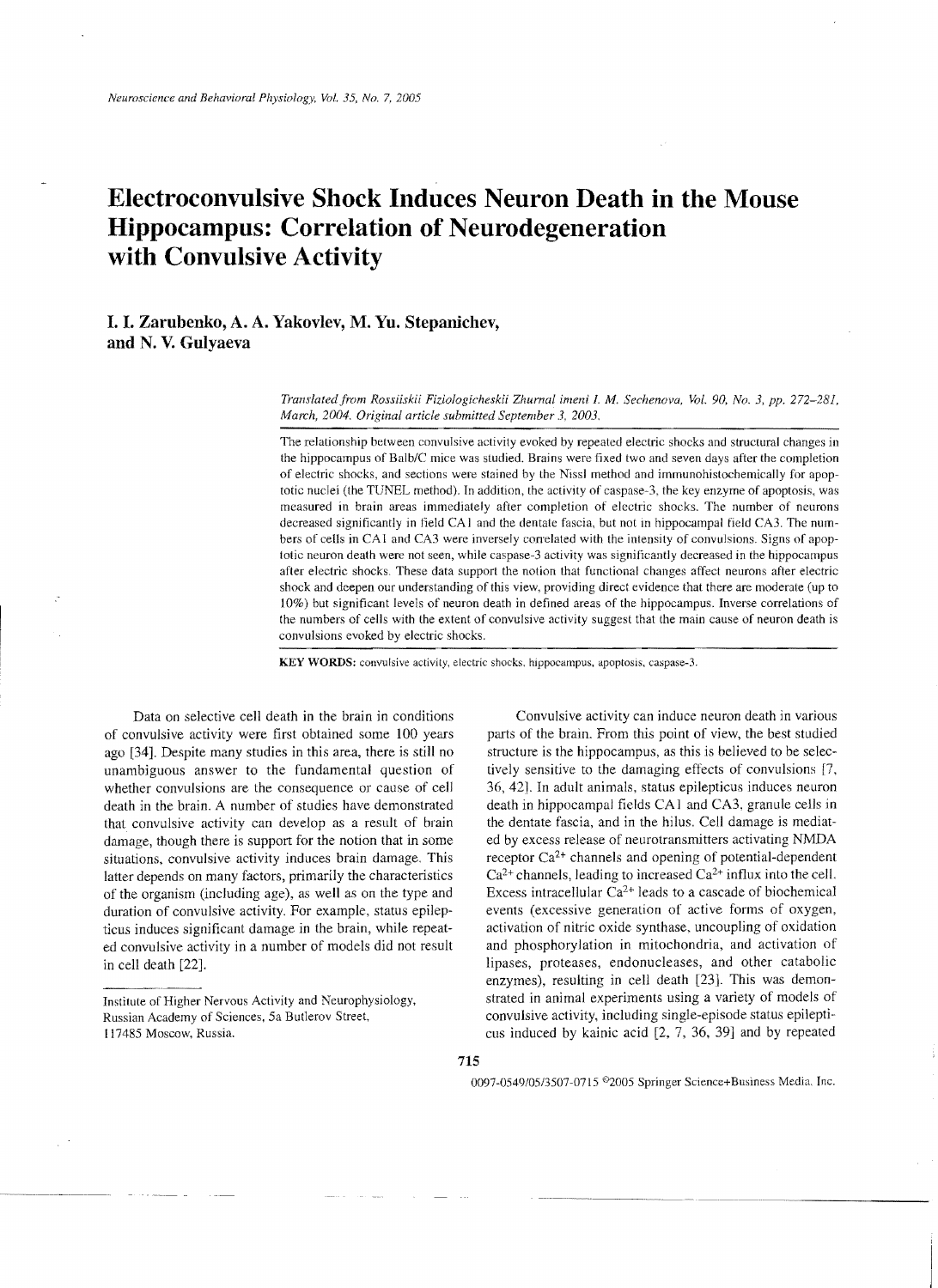# **Electroconvulsive Shock Induces Neuron Death in the Mouse Hippocampus: Correlation of Neurodegeneration with Convulsive Activity**

## **I. I. Zarubenko, A. A. Yakovlev, M. Yu. Stepanichev, and N. V. Gulyaeva**

*Translatedfrom Rossiiskii Fiziologicheskii Zhurnal lmeni L* M. *Sechenova, Vol. 90, No.3, pp. 272-281, March, 2004. Original article submitted September* 3, *2003.* 

The relationship between convulsive activity evoked by repeated electric shocks and structural changes in the hippocampus of Balb/C mice was studied. Brains were fixed two and seven days after the completion of electric shocks, and sections were stained by the Nissl method and immunohistochemically for apoptotic nuclei (the TUNEL method). In addition, the activity of caspase-3, the key enzyme of apoptosis, was measured in brain areas immediately after completion of electric shoeks. The number of neurons decreased significantly in field CA1 and the dentate fascia, but not in hippocampal field CA3. The numbers of cells in CA1 and CA3 were inversely correlated with the intensity of convulsions. Signs of apoptotic neuron death were not seen, while caspase-3 activity was significantly decreased in the hippocampus after electric shocks. These data support the notion that functional changes affect neurons after electric shock and deepen our understanding of this view, providing direct evidence that there are moderate (up to 10%) but significant levels of neuron death in defined areas of the hippocampus. Inverse correlations of the numbers of cells with the extent of eonvulsive activity suggest that the main cause of neuron death is convulsions evoked by electric shocks.

KEY WORDS: convulsive activity, electric shocks. hippocampus, apoptosis, caspase-3.

of convulsive activity were first obtained some 100 years parts of the brain. From this point of view, the best studied ago [34]. Despite many studies in this area, there is still no structure is the hippocampus, as this is believed to be selecunambiguous answer to the fundamental question of tively sensitive to the damaging effects of convulsions [7, whether convulsions are the consequence or cause of cell 36,42]. In adult animals, status epilepticus induces neuron death in the brain. A number of studies have demonstrated death in hippocampal fields CA1 and CA3, granule cells in that convulsive activity can develop as a result of brain the dentate fascia, and in the hilus. Cell damag that convulsive activity can develop as a result of brain damage, though there is support for the notion that in some ed by excess release of neurotransmitters activating NMDA situations, convulsive activity induces brain damage. This receptor  $Ca<sup>2+</sup>$  channels and opening of potential-dependent latter depends on many factors, primarily the characteristics  $Ca^{2+}$  channels, leading to increased  $Ca^{2+}$  influx into the cell. of the organism (including age), as well as on the type and Excess intracellular  $Ca^{2+}$  leads to a cascade of biochemical duration of convulsive activity. For example, status epilep- events (excessive generation of active forms of oxygen, ticus induces significant damage in the brain, while repeat activation of nitric oxide synthase, uncoupling of oxidation<br>ed convulsive activity in a number of models did not result and phosphorylation in mitochondria, and ed convulsive activity in a number of models did not result in cell death [22]. lipases, proteases, endonucleases, and other catabolic

Data on selective cell death in the brain in conditions Convulsive activity can induce neuron death in various enzymes), resulting in cell death [23]. This was demon-Institute of Higher Nervous Activity and Neurophysiology, strated in animal experiments using a variety of models of Russian Academy of Sciences, 5a Butlerov Street, convulsive activity, including single-episode status epi convulsive activity, including single-episode status epilepti-117485 Moscow, Russia. cus induced by kainic acid [2, 7, 36, 39] and by repeated

0097-0549/05/3507-0715 <sup>®</sup>2005 Springer Science+Business Media. Inc.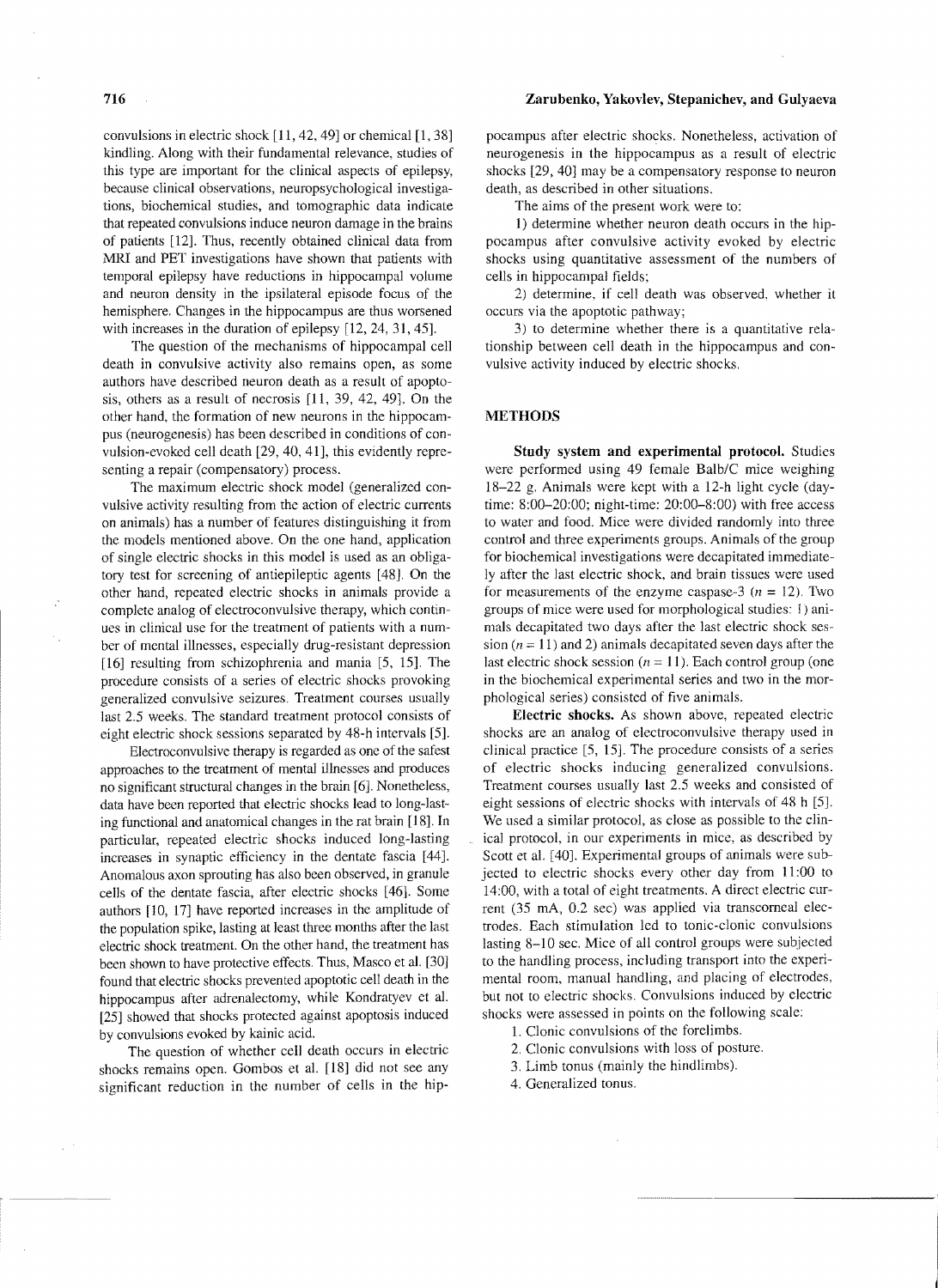convulsions in electric shock [11, 42, 49] or chemical [1, 38] kindling. Along with their fundamental relevance, studies of this type are important for the clinical aspects of epilepsy, because clinical observations, neuropsychological investigations, biochemical studies, and tomographic data indicate that repeated convulsions induce neuron damage in the brains of patients [12]. Thus, recently obtained clinical data from MRI and PET investigations have shown that patients with temporal epilepsy have reductions in hippocampal volume and neuron density in the ipsilateral episode focus of the hemisphere. Changes in the hippocampus are thus worsened with increases in the duration of epilepsy [12, 24, 31, 45].

The question of the mechanisms of hippocampal cell death in convulsive activity also remains open, as some authors have described neuron death as a result of apoptosis, others as a result of necrosis [11, 39, 42, 49]. On the other hand, the formation of new neurons in the hippocampus (neurogenesis) has been described in conditions of convulsion-evoked cell death [29, 40, 41], this evidently representing a repair (compensatory) process.

The maximum electric shock model (generalized convulsive activity resulting from the action of electric currents on animals) has a number of features distinguishing it from thc models mentioned above. On the one hand, application of single electric shocks in this model is used as an tory test for screcning of antiepileptic agents [48]. On the other hand, repeated electric shocks in animals provide a complete analog of electroconvulsive therapy, which continues in clinical use for the treatment of patients with a number of mental illnesses, especially drug-resistant depression [16] resulting from schizophrenia and mania [5, 15]. The proeedure consists of a series of electric shocks provoking generalized convulsive seizures. Treatment courses usually last 2.5 weeks. The standard treatment protocol consists of eight electric shock sessions separated by 48-h intervals [5].

Electroconvulsive therapy is regarded as one of the safest approaches to the treatment of mental illnesses and produces no significant structural changes in the brain [6]. Nonetheless, data have been reported that electric shocks lead to long-lasting functional and anatomical changes in the rat brain [18]. In particular, repeated electric shocks induced long-lasting increases in synaptic efficiency in the dentate fascia [44]. Anomalous axon sprouting has also been observed, in granule cells of the dentate fascia, after electric shocks [461. Some authors [10, 17] have reported increases in the amplitude of the population spike, lasting at least three months after the last electric shock treatment. On the other hand, the treatment has been shown to have protective effects. Thus, Masco et al. [30] found that electric shocks prevented apoptotic cell death in the hippocampus after adrenalectomy, while Kondratyev et al. [25] showed that shocks protected against apoptosis induced by convulsions evoked by kainic acid.

The question of whether cell death occurs in electric shocks remains open. Gombos et al. [18] did not see any significant reduction in the number of cells in the hip-

## **716 Zarubenko, Yakovlev, Stepanichev, and Gulyaeva**

poeampus after electric shocks. Nonetheless, activation of neurogenesis in the hippocampus as a result of electric shocks [29,40] may be a compensatory response to neuron death, as described in other situations.

The aims of the present work were to:

1) determine whether neuron death occurs in the hippocampus after convulsive activity evoked by electric shocks using quantitative assessment of the numbers of cells in hippocampal fields;

2) determine, if cell death was observed, whether it occurs via the apoptotic pathway;

3) to determine whether there is a quantitative relationship between cell death in the hippocampus and convulsive activity induced by electric shocks.

## **METHODS**

**Study system and experimental protocol.** Studies were performed using 49 female *BalblC* mice weighing 18-22 g. Animals were kept with a 12-h light cycle (daytime: 8:00-20:00; night-time: 20:00-8:00) with free access to water and food. Mice were divided randomly into three control and three experiments groups. Animals of the group for biochemical investigations were decapitated immediately after the last electric shock, and brain tissues were used for measurements of the enzyme caspase-3 ( $n = 12$ ). Two groups of mice were used for morphological studies: I) animals decapitated two days after the last electric shock session ( $n = 11$ ) and 2) animals decapitated seven days after the last electric shock session  $(n = 11)$ . Each control group (one in the biochemical experimental series and two in the morphological series) consisted of five animals.

**Electric shocks.** As shown above, repeated electric shocks are an analog of electroconvulsive therapy used in clinical practice [5, 15]. The procedure consists of a series of electric shocks indueing generalized convulsions. Treatment courses usually last 2.5 weeks and consisted of eight sessions of electric shocks with intervals of 48 h [5]. We used a similar protocol, as close as possible to the clinical protocol, in our experiments in mice, as described by Scott et al. [40]. Experimental groups of animals were subjected to electric shocks every other day from 11 :00 to 14:00, with a total of eight treatments. A direct electric current (35 mA, 0.2 sec) was applied via transcorneal electrodes. Each stimulation led to tonic-clonic convulsions lasting 8-10 sec. Mice of all control groups were subjected to the handling process, including transport into the experimental room, manual handling, and placing of electrodes, but not to electric shocks. Convulsions induced by electric shocks were assessed in points on the following scale:

- 1. Clonic convulsions of the forelimbs.
- 2. Clonic convulsions with loss of posture.
- 3. Limb tonus (mainly the hindlimbs).

 $\bar{z}$ 

4. Generalized tonus.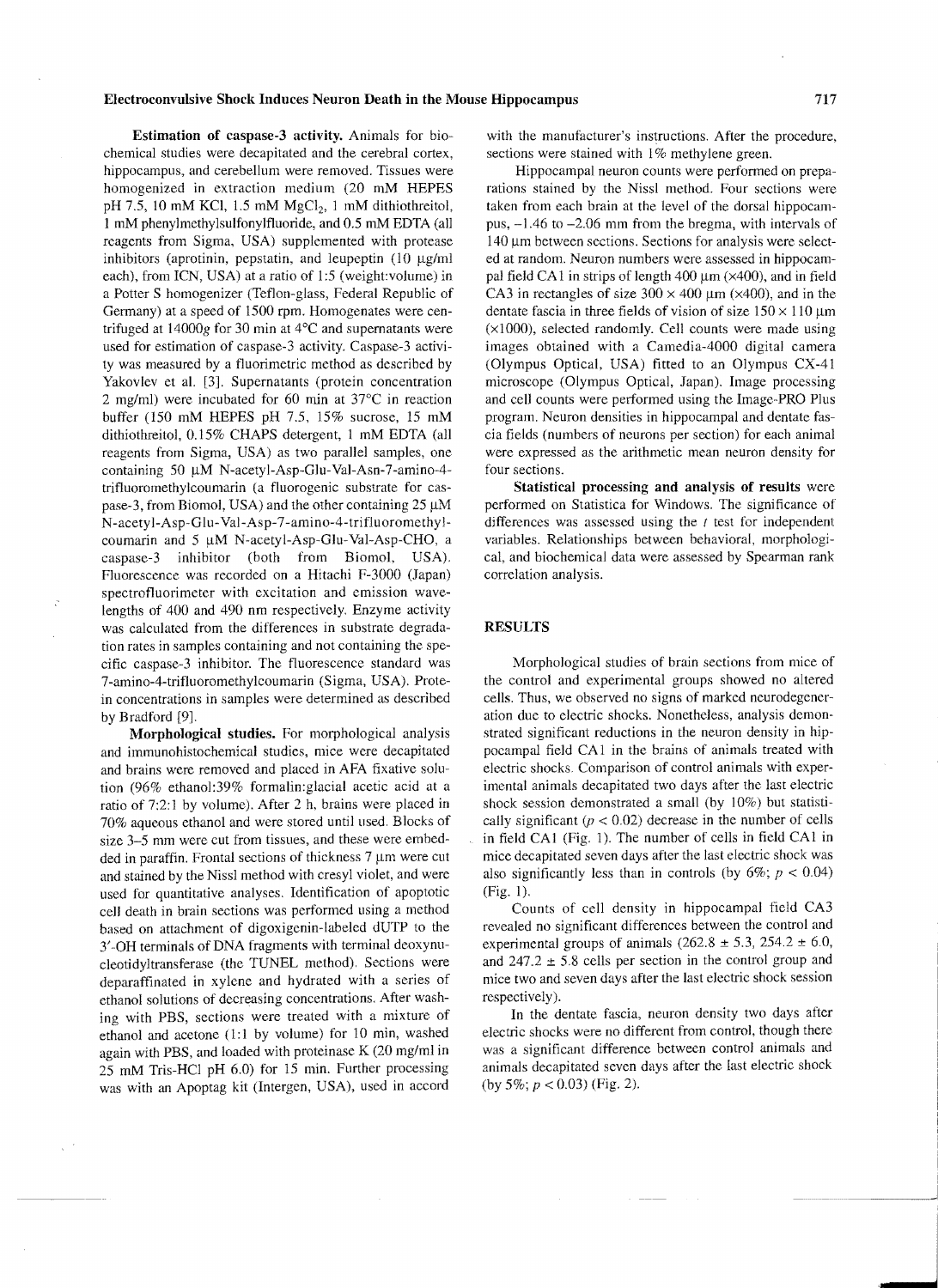#### Electroconvulsive Shock Induces Neuron Death in the Mouse Hippocampus 717

Estimation of caspase-3 activity. Animals for biochemical studies were decapitated and the cerebral cortex, hippocampus, and cerebellum were removed. Tissues were homogenized in extraction medium (20 mM HEPES pH 7.5, 10 mM KCl, 1.5 mM  $MgCl<sub>2</sub>$ , 1 mM dithiothreitol, 1 mM phenylmethylsulfonylfluoride, and 0.5 mM EDTA (all reagents from Sigma, USA) supplemented with protease inhibitors (aprotinin, pepstatin, and leupeptin  $(10 \mu g/ml)$ each), from ICN, USA) at a ratio of 1:5 (weight:volume) in a Potter S homogenizer (Teflon-glass, Federal Republic of Germany) at a speed of 1500 rpm. Homogenates were centrifuged at 14000g for 30 min at 4°C and supernatants were used for estimation of caspase-3 activity. Caspase-3 activity was measured by a fluorimetric method as described by Yakovlev et al. [3]. Supernatants (protein concentration 2 mg/ml) were incubated for 60 min at 37°C in reaction buffer (150 mM HEPES pH 7.5, 15% sucrose, 15 mM dithiothreitol, 0.15% CHAPS detergent, 1 mM EDTA (all reagents from Sigma, USA) as two parallel samples, one containing 50 µM N-acetyl-Asp-Glu-Val-Asn-7-amino-4trifluoromethylcoumarin (a fluorogenic substrate for caspase-3, from Biomol, USA) and the other containing  $25 \mu M$ N-acety l-Asp-Glu-Val-Asp-7 -amino-4-trifluoromethylcoumarin and  $5 \mu M$  N-acetyl-Asp-Glu-Val-Asp-CHO, a caspase-3 inhibitor (both from Biomol, USA). Fluorescence was recorded on a Hitachi F-3000 (Japan) spectrofluorimeter with excitation and emission wavelengths of 400 and 490 nm respectively. Enzyme activity was calculated from the differences in substrate degradation rates in samples containing and not containing the specific caspase-3 inhibitor. The fluorescence standard was 7-amino-4-tritluoromethylcoumarin (Sigma, USA). Protein concentrations in samples were determined as described by Bradford [9].

Morphological studies. For morphological analysis and immunohistochemical studies, mice were decapitated and brains were removed and placed in AFA fixative solution (96% ethanol:39% formalin:glacial acetic acid at a ratio of 7:2:1 by volume). After 2 h, brains were placed in 70% aqueous ethanol and were stored until used. Blocks of size 3-5 mm were cut from tissues, and these were embedded in paraffin. Frontal sections of thickness  $7 \mu m$  were cut and stained by the Nissl method with cresyl violet, and were used for quantitative analyses. Identitication of apoptotic cell death in brain seetions was performed using a method based on attachment of digoxigenin-labeled dUTP to the 3'-OH terminals of DNA fragments with terminal deoxynucleotidyltransferase (the TUNEL method). Seetions were deparaffinated in xylene and hydrated with a series of ethanol solutions of decreasing concentrations. After washing with PBS, sections were treated with a mixture of ethanol and acetone (1:1 by volume) for 10 min, washed again with PBS, and loaded with proteinase K (20 mg/ml in 25 mM Tris-HCl pH 6.0) for 15 min. Further processing was with an Apoptag kit (Intergen, USA), used in accord

with the manufacturer's instructions. After the procedure, sections were stained with 1% methylene green.

Hippocampal neuron counts were performed on preparations stained by the Nissl method. Four sections were taken from each brain at the level of the dorsal hippocampus, -1.46 to -2.06 mm from the bregma, with intervals of 140 μm between sections. Sections for analysis were selected at random. Neuron numbers were assessed in hippocampal field CA1 in strips of length  $400 \mu m$  ( $\times$ 400), and in field CA3 in rectangles of size  $300 \times 400 \mu m$  ( $\times 400$ ), and in the dentate fascia in three fields of vision of size  $150 \times 110 \,\mu m$ (xIOOO), selected randomly. Cell counts were made using images obtained with a Camedia-4000 digital camera (Olympus Optical, USA) fitted to an Olympus CX-41 microscope (Olympus Optical, Japan). Image processing and cell counts were performed using the Image-PRO Plus program. Neuron densities in hippocampal and dentate fascia fields (numbers of neurons per section) for each animal were expressed as the arithmetic mean neuron density for four sections.

Statistical processing and analysis of results were performed on Statistica for Windows. The significance of differences was assessed using the  $t$  test for independent variables. Relationships between behavioral, morphological, and biochemical data were assessed by Spearman rank correlation analysis.

## RESULTS

Morphological studies of brain sections from mice of the control and experimental groups showed no altered cells. Thus, we observed no signs of marked neurodegeneration due to electric shocks. Nonetheless, analysis demonstrated significant reductions in the neuron density in hippocampal field CA I in the brains of animals treated with eleetric shocks. Comparison of control animals with experimental animals decapitated two days after the last electric shock session demonstrated a small (by 10%) but statistically significant  $(p < 0.02)$  decrease in the number of cells in field CA1 (Fig. 1). The number of cells in field CA1 in mice decapitated seven days after the last eleetric shock was also significantly less than in controls (by  $6\%$ ;  $p < 0.04$ ) (Fig. I).

Counts of cell density in hippocampal field CA3 revealed no significant differences between the control and experimental groups of animals  $(262.8 \pm 5.3, 254.2 \pm 6.0,$ and  $247.2 \pm 5.8$  cells per section in the control group and mice two and seven days after the last electric shock session respectively).

In the dentate fascia, neuron density two days after eleetric shocks were no different from control, though there was a significant difference between control animals and animals decapitated seven days after the last electric shock (by 5%;  $p < 0.03$ ) (Fig. 2).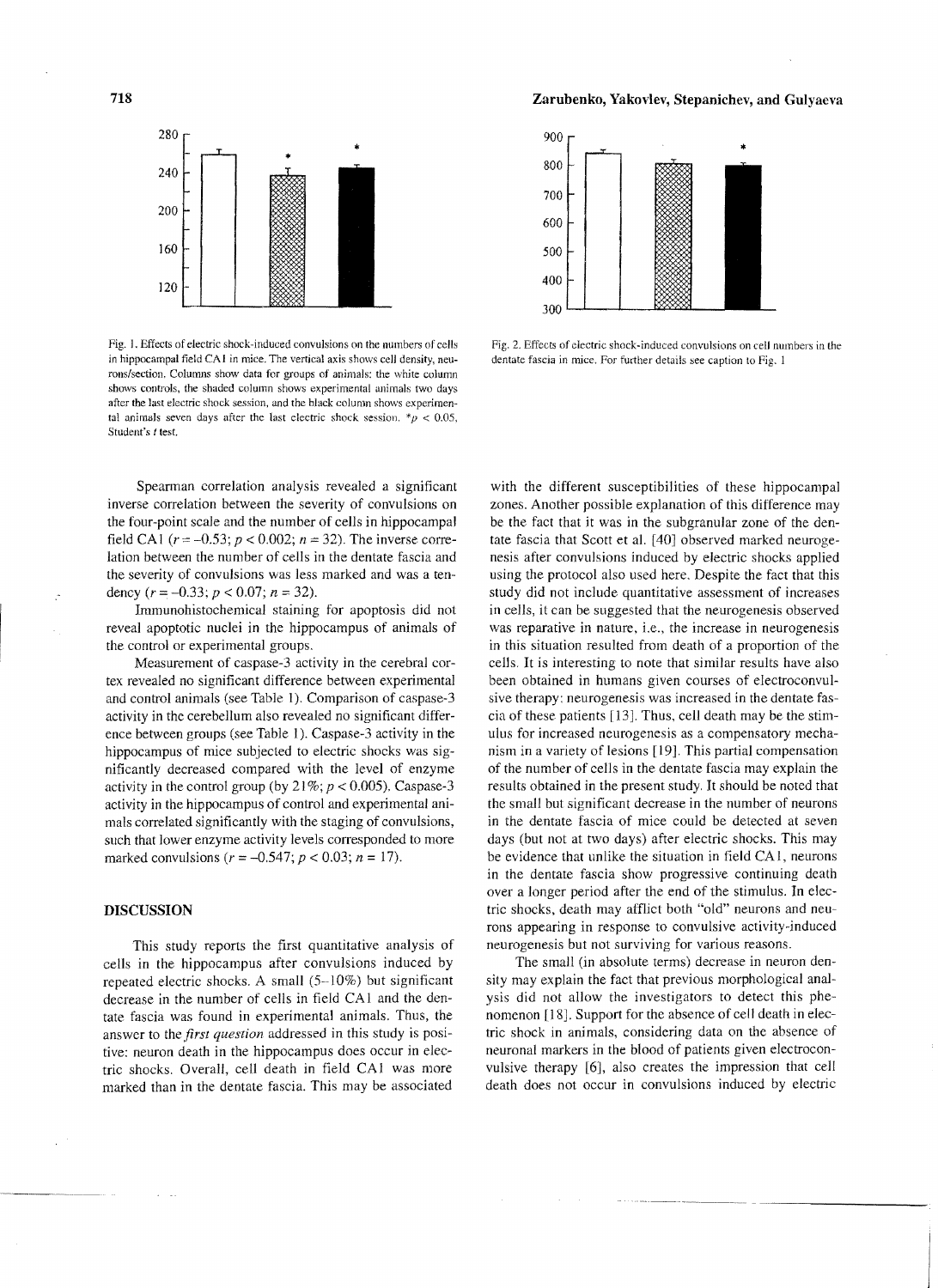718 Zarubenko, Yakovlev, Stepanichev, and Gulyaeva



Fig. I. Effects of electric shock-induced convulsions on the numbers of cells in hippocampal field CA I in mice. The vertical axis shows cell density, neurons/section. Columns show data for groups of animals: the white column shows controls, the shaded column shows experimental animals two days after the last electric shock session, and the black column shows experimental animals seven days after the last electric shock session.  $\mu$  < 0.05, Student's t test.

Spearman correlation analysis revealed a significant inverse correlation between the severity of convulsions on the four-point scale and the number of cells in hippocampal field CA1 ( $r = -0.53$ ;  $p < 0.002$ ;  $n = 32$ ). The inverse correlation between the number of cells in the dentate fascia and the severity of convulsions was less marked and was a tendency  $(r = -0.33; p < 0.07; n = 32)$ .

Immunohistochemical staining for apoptosis did not reveal apoptotic nuclei in the hippocampus of animals of the control or experimental groups.

Measurement of caspase-3 activity in the cerebral cortex revealed no significant difference between experimental and control animals (see Table I). Comparison of caspase-3 activity in the cerebellum also revealed no significant difference between groups (see Table 1). Caspase-3 activity in the hippocampus of mice subjected to electric shocks was significantly decreased compared with the level of enzyme activity in the control group (by  $21\%$ ;  $p < 0.005$ ). Caspase-3 activity in the hippocampus of control and experimental animals correlated significantly with the staging of convulsions, such that lower enzyme activity levels corresponded to more marked convulsions ( $r = -0.547$ ;  $p < 0.03$ ;  $n = 17$ ).

#### DISCUSSION

This study reports the first quantitative analysis of cells in the hippocampus after convulsions induced by repeated electric shocks. A small (5-10%) but significant decrease in the number of cells in field CA I and the dentate fascia was found in experimental animals. Thus, the answer to the *first question* addressed in this study is positive: neuron death in the hippocampus does occur in electric shocks. Overall, cell death in field CA1 was more marked than in the dentate fascia. This may be associated



Pig. 2. Effects of electric shock-induced convulsions on cell numbers in the dentate fascia in mice. For further details see caption to Fig. 1

with the different susceptibilities of these hippocampal zones. Another possible explanation of this difference may be the fact that it was in the subgranular zone of the dentate fascia that Scott et al. [40] observed marked neurogenesis after convulsions induced by electric shocks applied using the protocol also used here. Despite the fact that this study did not include quantitative assessment of increases in cells, it can be suggested that the neurogenesis observed was reparative in nature, i.e., the increase in neurogenesis in this situation resulted from death of a proportion of the cells. It is interesting to note that similar results have also been obtained in humans given courses of electroconvulsive therapy: neurogenesis was increased in the dentate fascia of these patients [13]. Thus, cell death may be the stimulus for increased neurogenesis as a compensatory mechanism in a variety of lesions [19]. This partial compensation of the number of cells in the dentate fascia may explain the results obtained in the present study. It should be noted that the small but significant decrease in the number of neurons in the dentate fascia of mice could be detected at seven days (but not at two days) after electric shocks. This may be evidence that unlike the situation in field CA I, neurons in the dentate fascia show progressive continuing death over a longer period after the end of the stimulus. In electric shocks, death may afflict both "old" neurons and neurons appearing in response to convulsive activity-induced neurogenesis but not surviving for various reasons.

The small (in absolute terms) decrease in neuron density may explain the fact that previous morphological analysis did not allow the investigators to detect this phenomenon [18]. Support for the absence of cell death in electric shock in animals, considering data on the absence of neuronal markers in the blood of patients given electroconvulsive therapy [6], also creates the impression that cell death does not occur in convulsions induced by electric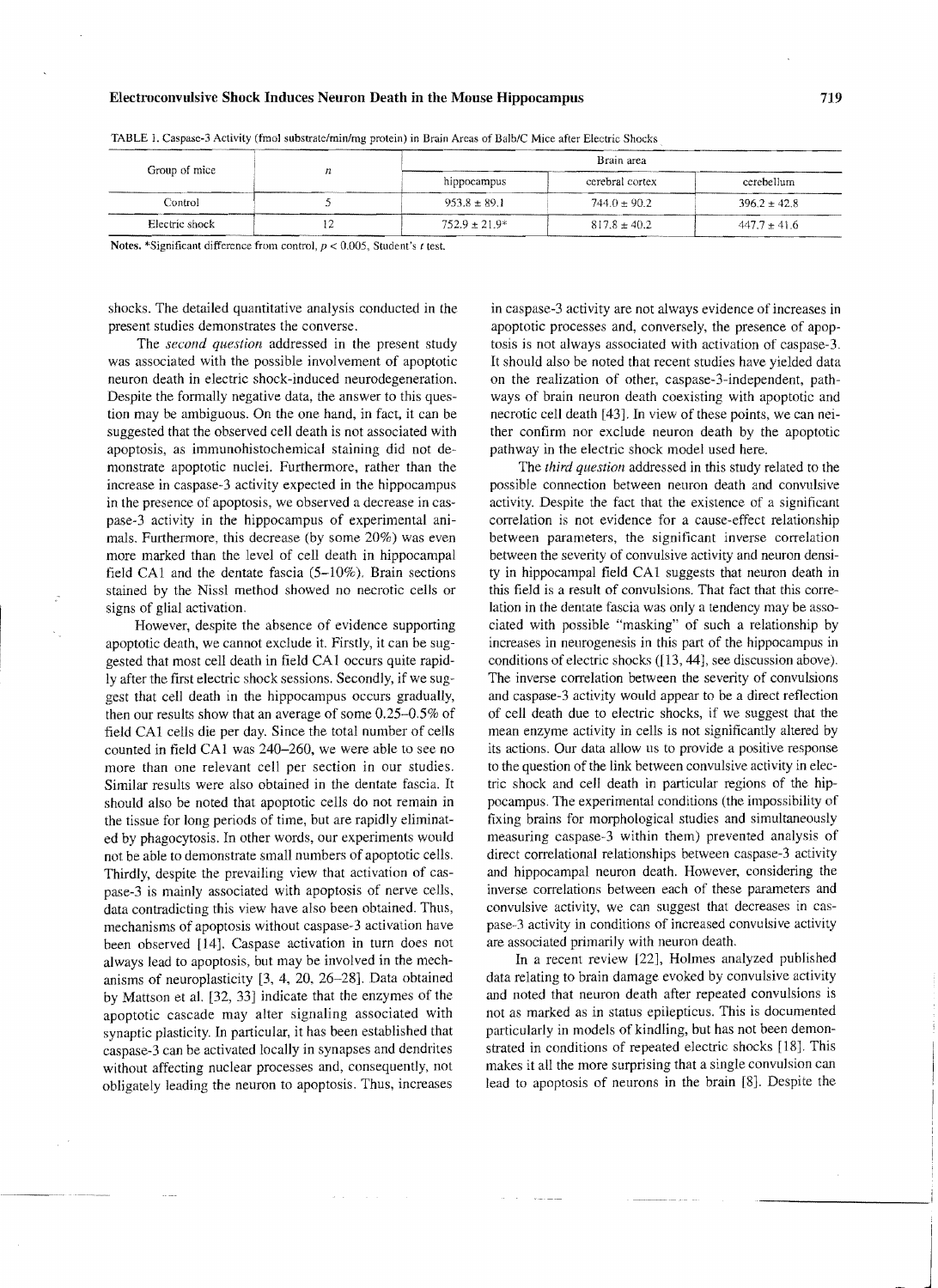#### **Electroconvulsive Shock Induces Neuron Death in the Mouse Hippocampus 719**

| Group of mice  | 11 | Brain area         |                  |                  |
|----------------|----|--------------------|------------------|------------------|
|                |    | hippocampus        | cerebral cortex  | cerebellum       |
| Control        |    | $953.8 \pm 89.1$   | $744.0 \pm 90.2$ | $396.2 \pm 42.8$ |
| Electric shock |    | $752.9 \pm 21.9^*$ | $817.8 \pm 40.2$ | $447.7 \pm 41.6$ |

TABLE J. Caspase-3 Activity (finol substrate/min/mg protein) in Brain Areas of *Balb/C* Mice after Electric Shocks

Notes. \*Significant difference from control,  $p < 0.005$ , Student's *t* test.

shocks. The detailed quantitative analysis conducted in the present studies demonstrates the converse.

The *second question* addressed in the present study was associated with the possible involvement of apoptotic neuron death in electric shock-induced neurodegeneration. Despite the formally negative data, the answer to this question may be ambiguous. On the one hand, in fact, it can be suggested that the observed cell death is not associated with apoptosis, as immunohistochemical staining did not demonstrate apoptotic nuclei. Furthermore, rather than the increase in caspase-3 activity expected in the hippocampus in the presence of apoptosis, we observed a decrease in caspase-3 activity in the hippocampus of experimental animals. Furthermore, this decrease (by some 20%) was even more marked than the level of cell death in hippocampal field CA1 and the dentate fascia  $(5-10\%)$ . Brain sections stained by the Nissl method showed no necrotic cells or signs of glial activation.

However, despite the absence of evidence supporting apoptotic death, we cannot exclude it. Firstly, it can be suggested that most cell death in field CA 1 occurs quite rapidly after the first electric shock sessions. Secondly, if we suggest that cell death in the hippocampus occurs gradually, then our results show that an average of some 0.25-0.5% of field CAl cells die per day. Since the total number of cells counted in field CAl was 240-260, we were able to see no more than one relevant cell per section in our studies. Similar results were also obtained in the dentate fascia. It should also be noted that apoptotic cells do not remain in the tissue for long periods of time, but are rapidly eliminated by phagocytosis. In other words, our experiments would not be able to demonstrate small numbers of apoptotic cells. Thirdly, despite the prevailing view that activation of caspase-3 is mainly associated with apoptosis of nerve cells, data contradicting this view have also been obtained. Thus, mechanisms of apoptosis without caspase-3 activation have been observed [14]. Caspase activation in turn does not always lead to apoptosis, but may be involved in the mechanisms of neuroplasticity [3, 4, 20, 26-28]. Data obtained by Mattson et aL [32, 33] indicate that the enzymes of the apoptotic cascade may alter signaling associated with synaptic plasticity. In particular, it has been established that caspase-3 can be activated locally in synapses and dendrites without affecting nuclear processes and, consequently, not obligately leading the neuron to apoptosis. Thus, increases

in caspase-3 activity are not always evidence of increases in apoptotic processes and, conversely, the presence of apoptosis is not always associated with activation of caspase-3. It should also be noted that recent studies have yielded data on the realization of other, caspase-3-independent, pathways of brain neuron death coexisting with apoptotic and necrotic cell death [43]. In view of these points, we can neither confirm nor exclude neuron death by the apoptotic pathway in the electric shock model used here.

The *third question* addressed in this study related to the possible connection between neuron death and convulsive activity. Despite the fact that the existence of a significant correlation is not evidence for a cause-effect relationship between parameters, the significant inverse correlation between the severity of convulsive activity and neuron density in hippocampal field CAl suggests that neuron death in this field is a result of convulsions. That fact that this correlation in the dentate fascia was only a tendency may be associated with possible "masking" of such a relationship by increases in neurogenesis in this part of the hippocampus in conditions of electric shocks ([13,44], see discussion above). The inverse correlation between the severity of convulsions and caspase-3 activity would appear to be a direct reflection of cell death due to electric shocks, if we suggest that the mean enzyme activity in cells is not significantly altered by its actions. Our data allow us to provide a positive response to the question of the link between convulsive activity in electric shock and cell death in particular regions of the hippocampus. The experimental conditions (the impossibility of fixing brains for morphological studies and simultaneously measuring caspase-3 within them) prevented analysis of direct correlational relationships between caspase-3 activity and hippocampal neuron death. However, considering the inverse correlations between each of these parameters and convulsive activity, we can suggest that decreases in caspase-3 activity in conditions of increased convulsive activity are associated primarily with neuron death.

In a recent review [22], Holmes analyzed published data relating to brain damage evoked by convulsive activity and noted that neuron death after repeated convulsions is not as marked as in status epilepticus. This is documented particularly in models of kindling, but has not been demonstrated in conditions of repeated electric shocks [18]. This makes it all the more surprising that a single convulsion can lead to apoptosis of neurons in the brain [8]. Despite the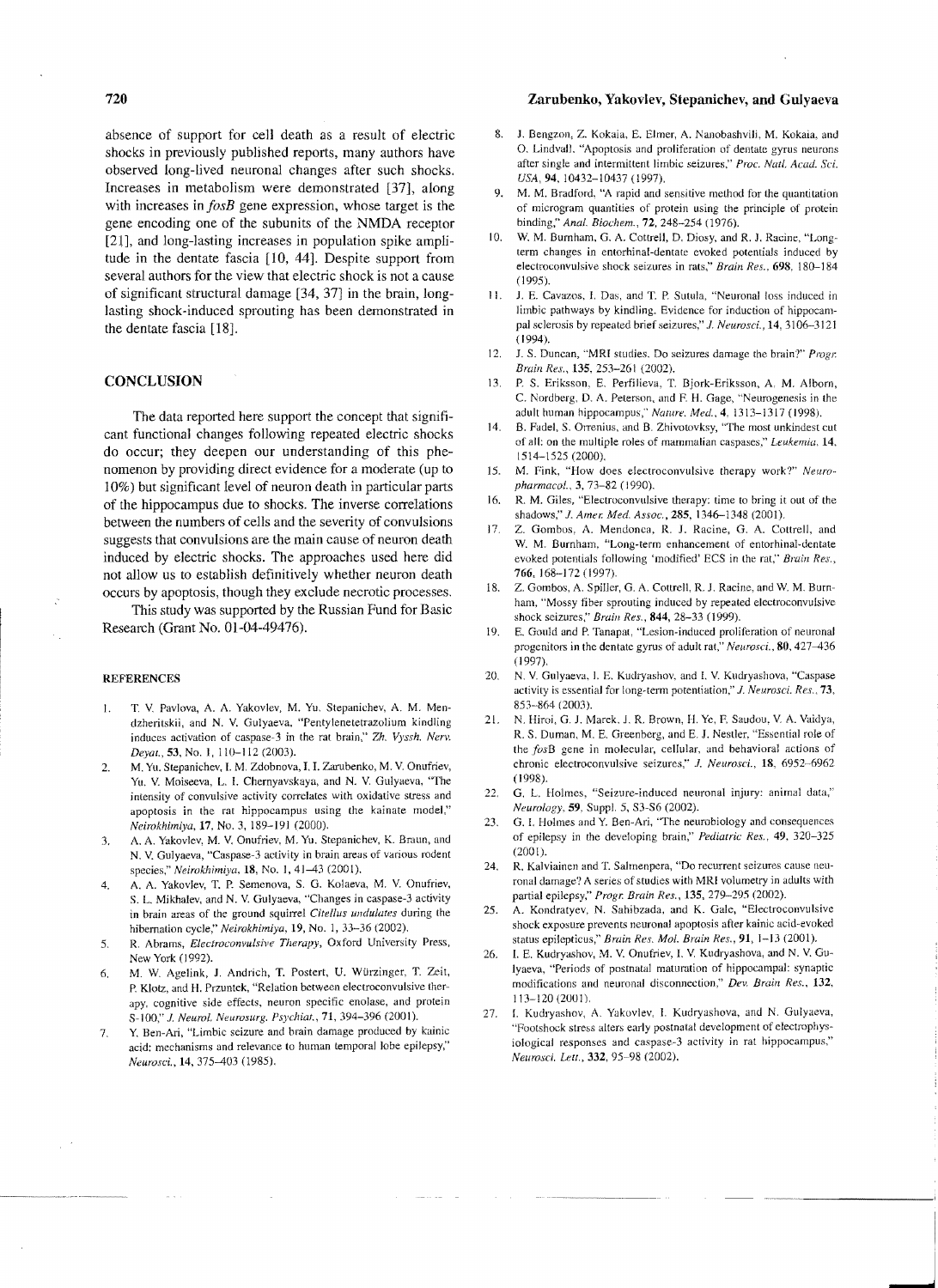absence of support for cell death as a result of electric shocks in previously published reports, many authors have observed long-lived neuronal changes after such shocks. Increases in metabolism were demonstrated [37], along with increases in *fosB* gene expression, whose target is the gene encoding one of the subunits of the NMDA receptor [2l], and long-lasting increases in population spike amplitude in the dentate fascia [10, 44]. Despite support from several authors for the view that electric shock is not a cause of significant structural damage [34, 37] in the brain, longlasting shock-induced sprouting has been demonstrated in the dentate fascia [18].

#### **CONCLUSION**

The data reported here support the concept that significant functional changes following repeated electric shocks do occur; they deepen our understanding of this phenomenon by providing direct evidence for a moderate (up to 10%) but significant level of neuron death in particular parts of the hippocampus due to shocks. The inverse correlations between the numbers of cells and the severity of convulsions suggests that convulsions are the main cause of neuron death induced by electric shocks. The approaches used here did not allow us to establish definitively whether neuron death occurs by apoptosis, though they exclude necrotic processes.

This study was supported by the Russian Fund for Basic Research (Grant No. 01-04-49476).

#### **REFERENCES**

- 1. T. V. Pavlova, A. A. Yakovlev, M. Yu. Stepanichev, A. M. Mendzheritskii, and N. V. GUlyaeva, "Pentylenetetrazolium kindling induces activation of caspase-3 in the rat brain," Zh. *Vyssh. Nerv. Deyat.,* 53, No. I, 110-112 (2003).
- 2. M. Yu. Stepanichev, I. M. Zdobnova, I. I. Zarubenko, M. V. Onufriev, Yu. V. Moiseeva, L. I. Chernyavskaya, and N. V. Gulyaeva, "The intensity of convulsive activity correlates with oxidative stress and apoptosis in the rat hippocampus using the kainate model," *Neirokhimlya,* 17, No.3, 189-191 (2000).
- 3. A. A. Yakovlev, M. V. Onufriev, M. Yu. Stepanichev, K. Braun, and N. V. Gulyaeva, "Caspase-3 activity in brain areas of various rodent species," *Neirokhimiya*, 18, No. 1, 41-43 (2001).
- 4. A. A. Yakovlev, T, P. Semenova, S. G. Kolaeva. M. V. Onufriev, S. L. Mikhalev, and N. V. Gulyaeva, "Changes in caspase-3 activity in brain areas of the ground squirrel *Citellus undulates* during the hibernation cycle," *Neirokhimiya,* 19, No. 1,33-36 (2002).
- 5. R. Abrams, *Electroconvulsive Therapy,* Oxford University Press, New York (1992).
- 6. M. W. Agelink, J. Andrich, T. Postert, U. Würzinger, T. Zeit, P. Klotz, and H. Przuntek, "Relation between electroconvulsive therapy, cognitive side effects, neuron specific enolase, and protein S-100," J. Neurol, Neurosurg. Psychiat., 71, 394-396 (2001).
- 7. Y. Ben-Ari, "Limbic seizure and brain damage produced by kainic acid: mechanisms and relevance to human temporal lobe epilepsy," *Neurosci.,* 14, 375-403 (1985).

### Zarubenko, Yakovlev, Stepanichev, and Gulyaeva

- 8. J. Bengzon, Z. Kokaia, E. Elmer, A. Nanobashvili, M. Kokaia, and O. Lindvall. "Apoptosis and proliferation of dentate gyrus neurons after single and intermittent limbic seizures," *Proc. Natl. Acad. Sci. USA,* 94,10432-10437 (1997).
- 9. M. M. Bradford, "A rapid and sensitive method for the quantitation of microgram quantities of protein using the principle of protein binding," *Anal. Biochem.,* 72, 248-254 (1976).
- 10. W. M. Burnham, G. A. Cottrell, D. Diosy, and R. J. Racine, "Longterm changes in entorhinal-dentate evoked potentials induced by electroconvulsive shock seizures in rats," *Brain Res.,* 698, 180-184 (1995).
- II. 1. E. Cavazos, I. Das, and T. P. Sutula, "Neuronal loss induced in limbic pathways by kindling. Evidence for induction of hippocampal sclerosis by repeated brief seizures," *J. Neurosci.*, **14**, 3106-3121 (1994).
- 12. J. S. Duncan, "MRI studies. Do seizures damage the brain?" *Progr. Braill Res.,* 135, 253-261 (2002),
- 13. P. S. Eriksson, E. Perfilieva, T. Bjork-Eriksson, A. M. Alborn, C. Nordberg, D. A. Peterson. and F H. Gage, "Neurogenesis in the adult human hippocampus," *Nature. Med..* 4,1313-1317 (1998).
- 14. B. Fadel, S. Orrenius, and B. Zhivotovksy, "The most unkindest cut of all: on the multiple roles of mammalian caspases," *Leukemia*, 14, 1514-1525 (2000).
- 15. M. Fink, "How does electroconvulsive therapy work?" *Neuropharmacol ..* 3, 73-82 (1990).
- 16. R. M. Giles, "Electroconvulsive therapy: time to bring it out of the shadows," J. *Amer. Med. Assoc.,* 2S5, 1346-1348 (2001).
- 17. Z. Gombos, A. Mendonca, R. J. Racine, G. A. Cottrell, and W. M. Burnham, "Long-term enhancement of entorhinal-dentate evoked potentials following 'modified' ECS in the rat," *Brain Res.,*  766,168-172 (1997).
- 18. Z. Gombos, A. Spiller, G. A. Cottrell, R. J. Racine, and W. M. Burnham, "Mossy fiber sprouting induced by repeated electroconvulsive shock seizures:' *Brain Res.,* 844, 28-33 (1999).
- 19. E. Gould and P. Tanapat, "Lesion-induced proliferation of neuronal progenitors in the dentate gyrus of adult rat," *Neurosci ..* 80, 427-436 (1997).
- 20. N. V. Gulyaeva. I. E. Kudryashov, and I. V. Kudryashova, "Caspase activity is essential for long-term potentiation," *J. Neurosci. Res.*, 73, 853-864 (2003).
- 21. N. Hiroi, G. J. Marek, J. R. Brown, H. Ye, F. Saudou, V. A. Vaidya, R. S. Duman, M, E. Greenberg, and E. J. Nestler. "Essential role of the *fosB* gene in molecular, cellular, and behavioral actions of chronic electroconvulsive seizures," J. *Neurosci.,* 18, 6952-6962 (1998).
- 22. G. L. Holmes, "Seizure-induced neuronal injury: animal data," *Neurology.* 59. Supp!. 5, S3-S6 (2002).
- 23. G. I. Holmes and Y. Ben-Ari, "The neurobiology and consequences of epilepsy in the developing brain," *Pediatric Res.,* 49, 320-325 (2001).
- 24. R. Kalviainen and T. Salmenpera, "Do recurrent seizures cause neuronal damage? A series of studies with MRI volumetry in adults with partial epilepsy," *Progr. Brain Res.,* 135, 279-295 (2002).
- 25. A. Kondratyev, N. Sahibzada, and K. Gale, "Electroconvulsive shock exposure prevents neuronal apoptosis after kainic acid-evoked status epilepticus," *Brain Res. Mol. Brain Res.,* 91, 1-13 (2001).
- 26. L E. Kudryashov, M. V. Onufriev, I. V. Kudryashova, and N. V. Gu-Iyaeva, "Periods of postnatal maturation of hippocampal: synaptic modifications and neuronal disconnection," *Dev. Brain Res., 132,*  113-120 (2001).
- 27. I. Kudryashov, A. Yakovlev, I. Kudryashova, and N. Gulyaeva, "Footshock stress alters early postnatal development of electrophysiological responses and caspase-3 activity in rat hippocampus," *Neurosci. Lett.,* 332, 95-98 (2002).